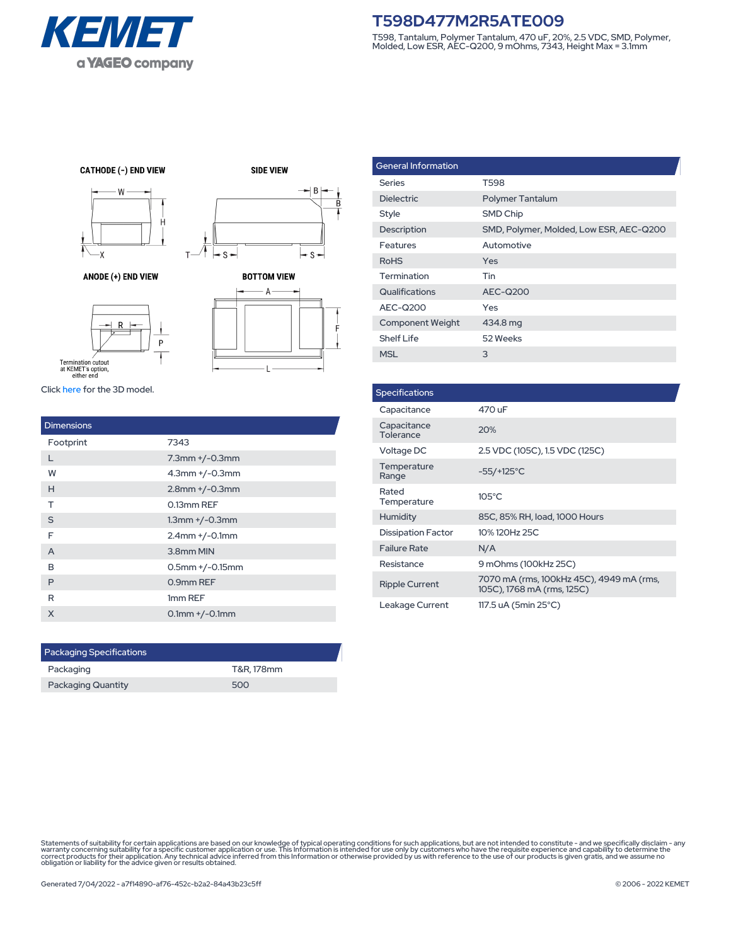

## **T598D477M2R5ATE009**

T598, Tantalum, Polymer Tantalum, 470 uF, 20%, 2.5 VDC, SMD, Polymer, Molded, Low ESR, AEC-Q200, 9 mOhms, 7343, Height Max = 3.1mm

**CATHODE (-) END VIEW** 



ANODE (+) END VIEW

**SIDE VIEW**  $\rightarrow$  B  $-$  S  $-$ s-

 $\overline{\mathsf{R}}$ 





Click [here](https://vendor.ultralibrarian.com/kemet/embedded?vdrpn=T598D477M2R5ATE009) for the 3D model.

| <b>Dimensions</b> |                       |
|-------------------|-----------------------|
| Footprint         | 7343                  |
| L                 | $7.3$ mm $+/-0.3$ mm  |
| W                 | $4.3$ mm $+/-0.3$ mm  |
| H                 | $2.8$ mm $+/-0.3$ mm  |
| т                 | 0.13mm REF            |
| S                 | $1.3$ mm $+/-0.3$ mm  |
| F                 | $2.4$ mm $+/-0.1$ mm  |
| A                 | 3.8mm MIN             |
| в                 | $0.5$ mm $+/-0.15$ mm |
| P                 | 0.9mm REF             |
| R                 | 1mm REF               |
| X                 | $0.1$ mm $+/-0.1$ mm  |

T-

| <b>Packaging Specifications</b> |            |
|---------------------------------|------------|
| Packaging                       | T&R. 178mm |
| <b>Packaging Quantity</b>       | 500        |

| <b>General Information</b> |                                         |
|----------------------------|-----------------------------------------|
| <b>Series</b>              | T598                                    |
| <b>Dielectric</b>          | <b>Polymer Tantalum</b>                 |
| Style                      | <b>SMD Chip</b>                         |
| Description                | SMD, Polymer, Molded, Low ESR, AEC-Q200 |
| Features                   | Automotive                              |
| <b>RoHS</b>                | Yes                                     |
| Termination                | Tin                                     |
| Qualifications             | AEC-Q200                                |
| AEC-Q200                   | Yes                                     |
| <b>Component Weight</b>    | 434.8 mg                                |
| <b>Shelf Life</b>          | 52 Weeks                                |
| <b>MSL</b>                 | 3                                       |

| <b>Specifications</b>     |                                                                        |
|---------------------------|------------------------------------------------------------------------|
| Capacitance               | 470 uF                                                                 |
| Capacitance<br>Tolerance  | 20%                                                                    |
| Voltage DC                | 2.5 VDC (105C), 1.5 VDC (125C)                                         |
| Temperature<br>Range      | $-55/+125^{\circ}$ C                                                   |
| Rated<br>Temperature      | $105^{\circ}$ C                                                        |
| Humidity                  | 85C, 85% RH, load, 1000 Hours                                          |
| <b>Dissipation Factor</b> | 10% 120Hz 25C                                                          |
| <b>Failure Rate</b>       | N/A                                                                    |
| Resistance                | 9 mOhms (100kHz 25C)                                                   |
| <b>Ripple Current</b>     | 7070 mA (rms, 100kHz 45C), 4949 mA (rms,<br>105C), 1768 mA (rms, 125C) |
| Leakage Current           | 117.5 uA (5min 25°C)                                                   |

Statements of suitability for certain applications are based on our knowledge of typical operating conditions for such applications, but are not intended to constitute - and we specifically disclaim - any<br>warranty concerni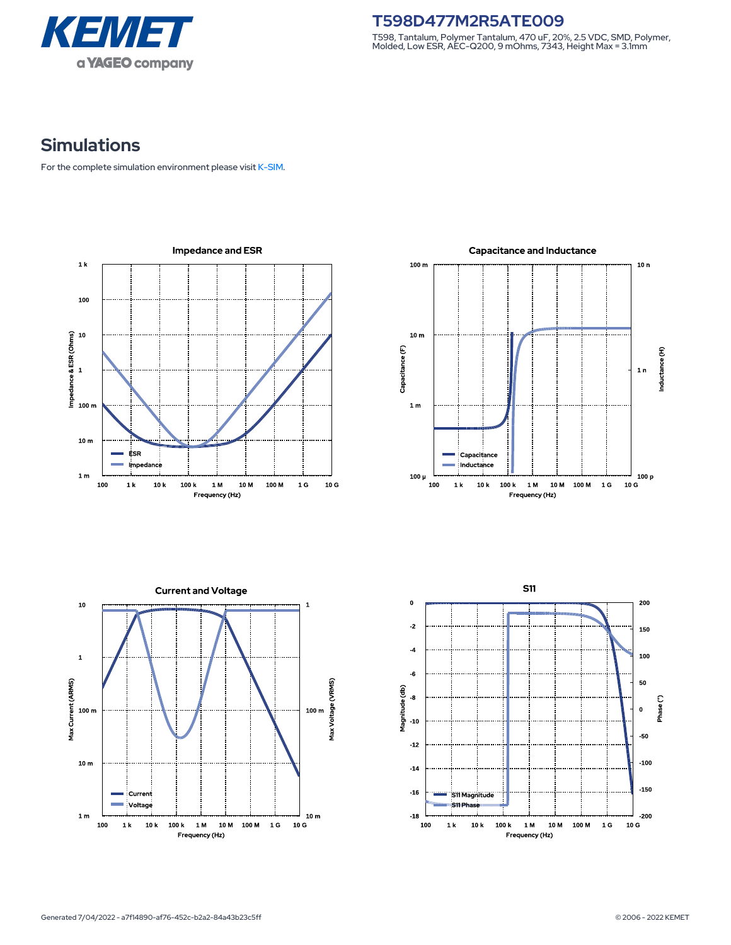

**T598D477M2R5ATE009** T598, Tantalum, Polymer Tantalum, 470 uF, 20%, 2.5 VDC, SMD, Polymer, Molded, Low ESR, AEC-Q200, 9 mOhms, 7343, Height Max = 3.1mm

## **Simulations**

For the complete simulation environment please visit [K-SIM](https://ksim.kemet.com/?pn=T598D477M2R5ATE009).

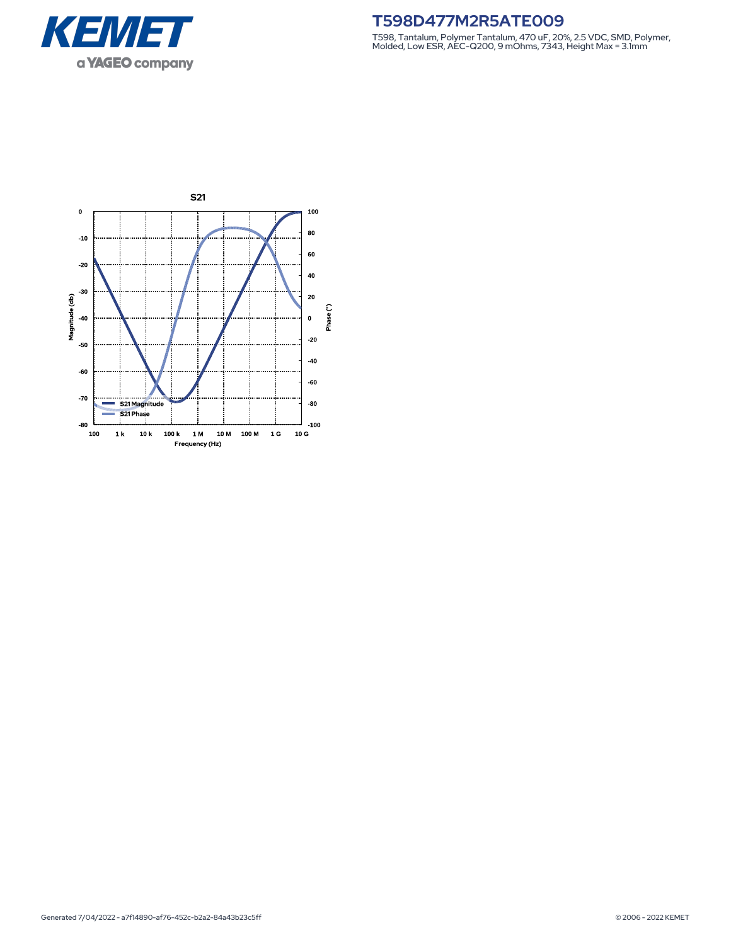